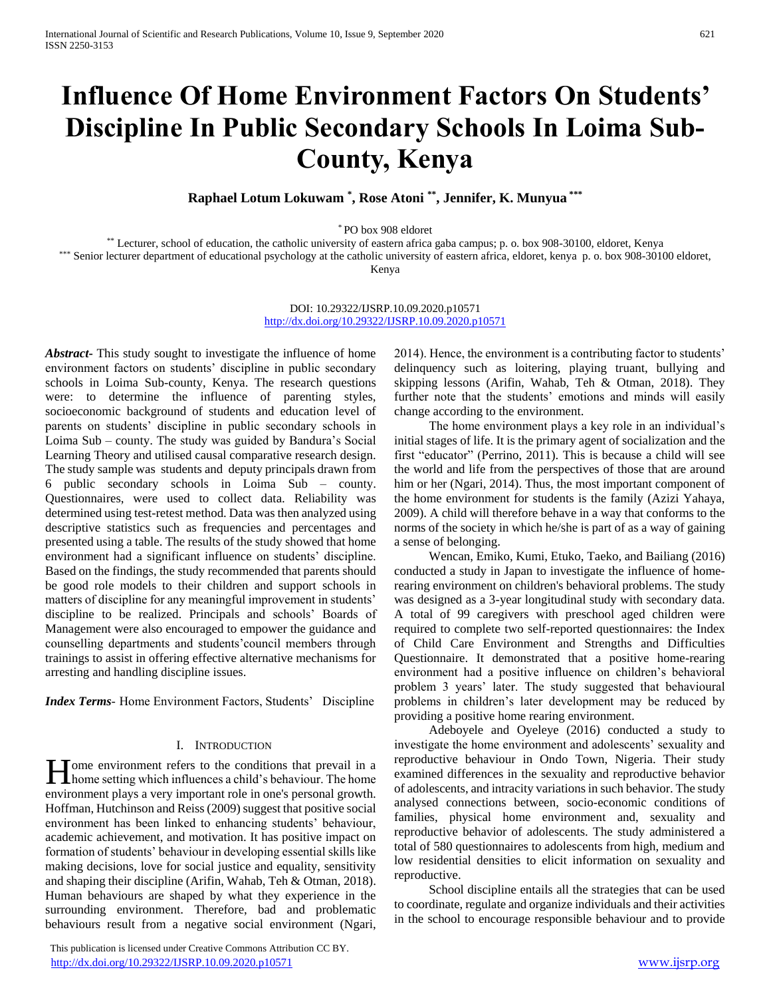# **Influence Of Home Environment Factors On Students' Discipline In Public Secondary Schools In Loima Sub-County, Kenya**

**Raphael Lotum Lokuwam \* , Rose Atoni \*\* , Jennifer, K. Munyua \*\*\***

\* PO box 908 eldoret

\*\* Lecturer, school of education, the catholic university of eastern africa gaba campus; p. o. box 908-30100, eldoret, Kenya

\*\*\* Senior lecturer department of educational psychology at the catholic university of eastern africa, eldoret, kenya p. o. box 908-30100 eldoret,

Kenya

DOI: 10.29322/IJSRP.10.09.2020.p10571 <http://dx.doi.org/10.29322/IJSRP.10.09.2020.p10571>

*Abstract***-** This study sought to investigate the influence of home environment factors on students' discipline in public secondary schools in Loima Sub-county, Kenya. The research questions were: to determine the influence of parenting styles, socioeconomic background of students and education level of parents on students' discipline in public secondary schools in Loima Sub – county. The study was guided by Bandura's Social Learning Theory and utilised causal comparative research design. The study sample was students and deputy principals drawn from 6 public secondary schools in Loima Sub – county. Questionnaires, were used to collect data. Reliability was determined using test-retest method. Data was then analyzed using descriptive statistics such as frequencies and percentages and presented using a table. The results of the study showed that home environment had a significant influence on students' discipline. Based on the findings, the study recommended that parents should be good role models to their children and support schools in matters of discipline for any meaningful improvement in students' discipline to be realized. Principals and schools' Boards of Management were also encouraged to empower the guidance and counselling departments and students'council members through trainings to assist in offering effective alternative mechanisms for arresting and handling discipline issues.

*Index Terms*- Home Environment Factors, Students' Discipline

## I. INTRODUCTION

ome environment refers to the conditions that prevail in a **h**ome setting which influences a child's behaviour. The home setting which influences a child's behaviour. The home environment plays a very important role in one's personal growth. Hoffman, Hutchinson and Reiss (2009) suggest that positive social environment has been linked to enhancing students' behaviour, academic achievement, and motivation. It has positive impact on formation of students' behaviour in developing essential skills like making decisions, love for social justice and equality, sensitivity and shaping their discipline (Arifin, Wahab, Teh & Otman, 2018). Human behaviours are shaped by what they experience in the surrounding environment. Therefore, bad and problematic behaviours result from a negative social environment (Ngari,

 This publication is licensed under Creative Commons Attribution CC BY. <http://dx.doi.org/10.29322/IJSRP.10.09.2020.p10571> [www.ijsrp.org](http://ijsrp.org/)

2014). Hence, the environment is a contributing factor to students' delinquency such as loitering, playing truant, bullying and skipping lessons (Arifin, Wahab, Teh & Otman, 2018). They further note that the students' emotions and minds will easily change according to the environment.

 The home environment plays a key role in an individual's initial stages of life. It is the primary agent of socialization and the first "educator" (Perrino, 2011). This is because a child will see the world and life from the perspectives of those that are around him or her (Ngari, 2014). Thus, the most important component of the home environment for students is the family (Azizi Yahaya, 2009). A child will therefore behave in a way that conforms to the norms of the society in which he/she is part of as a way of gaining a sense of belonging.

 Wencan, Emiko, Kumi, Etuko, Taeko, and Bailiang (2016) conducted a study in Japan to investigate the influence of homerearing environment on children's behavioral problems. The study was designed as a 3-year longitudinal study with secondary data. A total of 99 caregivers with preschool aged children were required to complete two self-reported questionnaires: the Index of Child Care Environment and Strengths and Difficulties Questionnaire. It demonstrated that a positive home-rearing environment had a positive influence on children's behavioral problem 3 years' later. The study suggested that behavioural problems in children's later development may be reduced by providing a positive home rearing environment.

 Adeboyele and Oyeleye (2016) conducted a study to investigate the home environment and adolescents' sexuality and reproductive behaviour in Ondo Town, Nigeria. Their study examined differences in the sexuality and reproductive behavior of adolescents, and intracity variations in such behavior. The study analysed connections between, socio-economic conditions of families, physical home environment and, sexuality and reproductive behavior of adolescents. The study administered a total of 580 questionnaires to adolescents from high, medium and low residential densities to elicit information on sexuality and reproductive.

 School discipline entails all the strategies that can be used to coordinate, regulate and organize individuals and their activities in the school to encourage responsible behaviour and to provide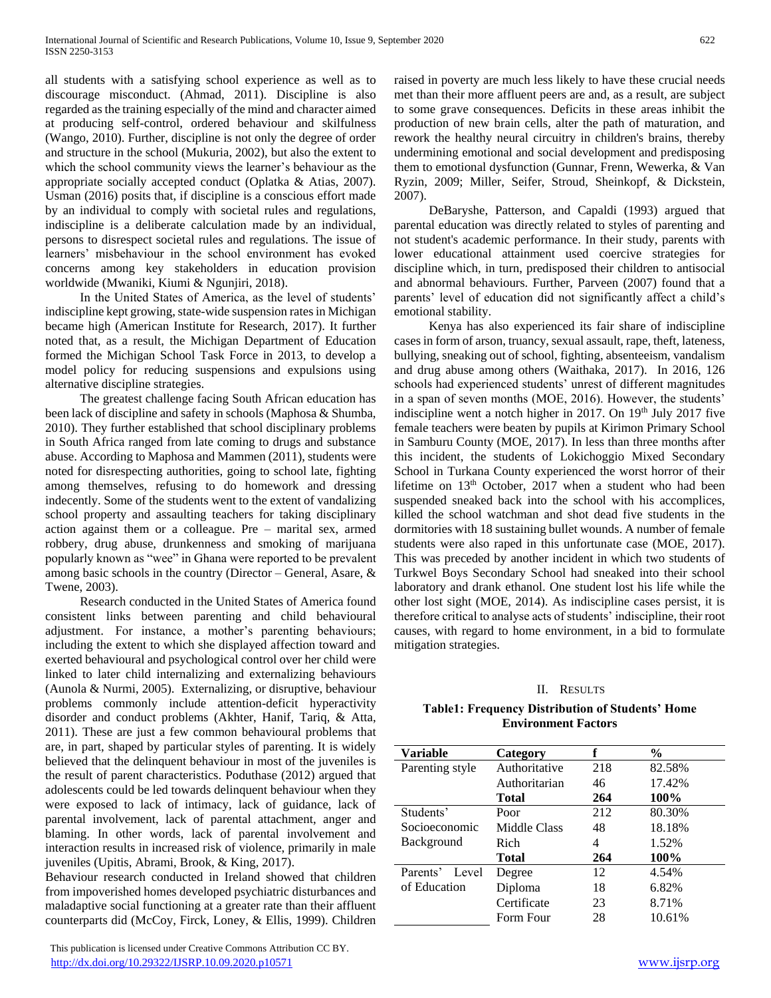all students with a satisfying school experience as well as to discourage misconduct. (Ahmad, 2011). Discipline is also regarded as the training especially of the mind and character aimed at producing self-control, ordered behaviour and skilfulness (Wango, 2010). Further, discipline is not only the degree of order and structure in the school (Mukuria, 2002), but also the extent to which the school community views the learner's behaviour as the appropriate socially accepted conduct (Oplatka & Atias, 2007). Usman (2016) posits that, if discipline is a conscious effort made by an individual to comply with societal rules and regulations, indiscipline is a deliberate calculation made by an individual, persons to disrespect societal rules and regulations. The issue of learners' misbehaviour in the school environment has evoked concerns among key stakeholders in education provision worldwide (Mwaniki, Kiumi & Ngunjiri, 2018).

 In the United States of America, as the level of students' indiscipline kept growing, state-wide suspension rates in Michigan became high (American Institute for Research, 2017). It further noted that, as a result, the Michigan Department of Education formed the Michigan School Task Force in 2013, to develop a model policy for reducing suspensions and expulsions using alternative discipline strategies.

 The greatest challenge facing South African education has been lack of discipline and safety in schools (Maphosa & Shumba, 2010). They further established that school disciplinary problems in South Africa ranged from late coming to drugs and substance abuse. According to Maphosa and Mammen (2011), students were noted for disrespecting authorities, going to school late, fighting among themselves, refusing to do homework and dressing indecently. Some of the students went to the extent of vandalizing school property and assaulting teachers for taking disciplinary action against them or a colleague. Pre – marital sex, armed robbery, drug abuse, drunkenness and smoking of marijuana popularly known as "wee" in Ghana were reported to be prevalent among basic schools in the country (Director – General, Asare, & Twene, 2003).

 Research conducted in the United States of America found consistent links between parenting and child behavioural adjustment. For instance, a mother's parenting behaviours; including the extent to which she displayed affection toward and exerted behavioural and psychological control over her child were linked to later child internalizing and externalizing behaviours (Aunola & Nurmi, 2005). Externalizing, or disruptive, behaviour problems commonly include attention-deficit hyperactivity disorder and conduct problems (Akhter, Hanif, Tariq, & Atta, 2011). These are just a few common behavioural problems that are, in part, shaped by particular styles of parenting. It is widely believed that the delinquent behaviour in most of the juveniles is the result of parent characteristics. Poduthase (2012) argued that adolescents could be led towards delinquent behaviour when they were exposed to lack of intimacy, lack of guidance, lack of parental involvement, lack of parental attachment, anger and blaming. In other words, lack of parental involvement and interaction results in increased risk of violence, primarily in male juveniles (Upitis, Abrami, Brook, & King, 2017).

Behaviour research conducted in Ireland showed that children from impoverished homes developed psychiatric disturbances and maladaptive social functioning at a greater rate than their affluent counterparts did (McCoy, Firck, Loney, & Ellis, 1999). Children

 This publication is licensed under Creative Commons Attribution CC BY. <http://dx.doi.org/10.29322/IJSRP.10.09.2020.p10571> [www.ijsrp.org](http://ijsrp.org/)

raised in poverty are much less likely to have these crucial needs met than their more affluent peers are and, as a result, are subject to some grave consequences. Deficits in these areas inhibit the production of new brain cells, alter the path of maturation, and rework the healthy neural circuitry in children's brains, thereby undermining emotional and social development and predisposing them to emotional dysfunction (Gunnar, Frenn, Wewerka, & Van Ryzin, 2009; Miller, Seifer, Stroud, Sheinkopf, & Dickstein, 2007).

 DeBaryshe, Patterson, and Capaldi (1993) argued that parental education was directly related to styles of parenting and not student's academic performance. In their study, parents with lower educational attainment used coercive strategies for discipline which, in turn, predisposed their children to antisocial and abnormal behaviours. Further, Parveen (2007) found that a parents' level of education did not significantly affect a child's emotional stability.

 Kenya has also experienced its fair share of indiscipline cases in form of arson, truancy, sexual assault, rape, theft, lateness, bullying, sneaking out of school, fighting, absenteeism, vandalism and drug abuse among others (Waithaka, 2017). In 2016, 126 schools had experienced students' unrest of different magnitudes in a span of seven months (MOE, 2016). However, the students' indiscipline went a notch higher in 2017. On 19th July 2017 five female teachers were beaten by pupils at Kirimon Primary School in Samburu County (MOE, 2017). In less than three months after this incident, the students of Lokichoggio Mixed Secondary School in Turkana County experienced the worst horror of their lifetime on 13th October, 2017 when a student who had been suspended sneaked back into the school with his accomplices, killed the school watchman and shot dead five students in the dormitories with 18 sustaining bullet wounds. A number of female students were also raped in this unfortunate case (MOE, 2017). This was preceded by another incident in which two students of Turkwel Boys Secondary School had sneaked into their school laboratory and drank ethanol. One student lost his life while the other lost sight (MOE, 2014). As indiscipline cases persist, it is therefore critical to analyse acts of students' indiscipline, their root causes, with regard to home environment, in a bid to formulate mitigation strategies.

# II. RESULTS

# <span id="page-1-0"></span>**Table1: Frequency Distribution of Students' Home Environment Factors**

| <b>Variable</b>   | Category      | f   | $\frac{0}{0}$ |
|-------------------|---------------|-----|---------------|
| Parenting style   | Authoritative | 218 | 82.58%        |
|                   | Authoritarian | 46  | 17.42%        |
|                   | Total         | 264 | 100%          |
| Students'         | Poor          | 212 | 80.30%        |
| Socioeconomic     | Middle Class  | 48  | 18.18%        |
| <b>Background</b> | Rich          | 4   | 1.52%         |
|                   | Total         | 264 | 100%          |
| Parents'<br>Level | Degree        | 12  | 4.54%         |
| of Education      | Diploma       | 18  | 6.82%         |
|                   | Certificate   | 23  | 8.71%         |
|                   | Form Four     | 28  | 10.61%        |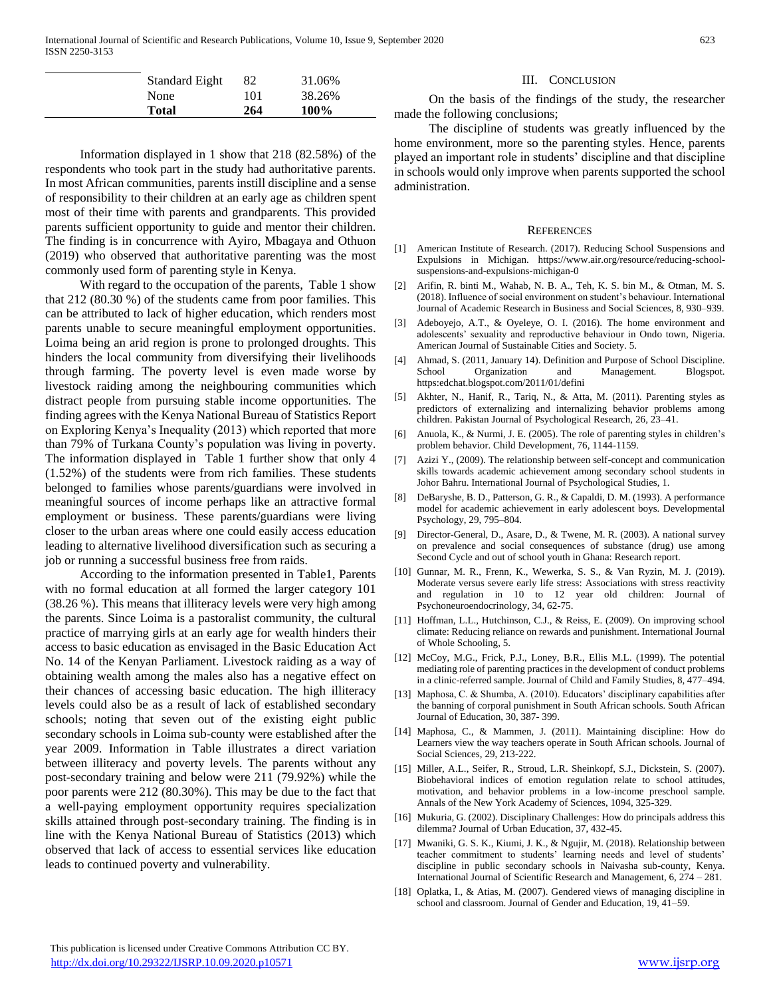| Standard Eight | 82  | 31.06% |
|----------------|-----|--------|
| None           | 101 | 38.26% |
| <b>Total</b>   | 264 | 100%   |

 Information displayed in 1 show that 218 (82.58%) of the respondents who took part in the study had authoritative parents. In most African communities, parents instill discipline and a sense of responsibility to their children at an early age as children spent most of their time with parents and grandparents. This provided parents sufficient opportunity to guide and mentor their children. The finding is in concurrence with Ayiro, Mbagaya and Othuon (2019) who observed that authoritative parenting was the most commonly used form of parenting style in Kenya.

 With regard to the occupation of the parents, Table 1 show that 212 (80.30 %) of the students came from poor families. This can be attributed to lack of higher education, which renders most parents unable to secure meaningful employment opportunities. Loima being an arid region is prone to prolonged droughts. This hinders the local community from diversifying their livelihoods through farming. The poverty level is even made worse by livestock raiding among the neighbouring communities which distract people from pursuing stable income opportunities. The finding agrees with the Kenya National Bureau of Statistics Report on Exploring Kenya's Inequality (2013) which reported that more than 79% of Turkana County's population was living in poverty. The information displayed in Table 1 further show that only 4 (1.52%) of the students were from rich families. These students belonged to families whose parents/guardians were involved in meaningful sources of income perhaps like an attractive formal employment or business. These parents/guardians were living closer to the urban areas where one could easily access education leading to alternative livelihood diversification such as securing a job or running a successful business free from raids.

 According to the information presented in [Table1](#page-1-0), Parents with no formal education at all formed the larger category 101 (38.26 %). This means that illiteracy levels were very high among the parents. Since Loima is a pastoralist community, the cultural practice of marrying girls at an early age for wealth hinders their access to basic education as envisaged in the Basic Education Act No. 14 of the Kenyan Parliament. Livestock raiding as a way of obtaining wealth among the males also has a negative effect on their chances of accessing basic education. The high illiteracy levels could also be as a result of lack of established secondary schools; noting that seven out of the existing eight public secondary schools in Loima sub-county were established after the year 2009. Information in [Table](#page-1-0) illustrates a direct variation between illiteracy and poverty levels. The parents without any post-secondary training and below were 211 (79.92%) while the poor parents were 212 (80.30%). This may be due to the fact that a well-paying employment opportunity requires specialization skills attained through post-secondary training. The finding is in line with the Kenya National Bureau of Statistics (2013) which observed that lack of access to essential services like education leads to continued poverty and vulnerability.

### III. CONCLUSION

 On the basis of the findings of the study, the researcher made the following conclusions;

 The discipline of students was greatly influenced by the home environment, more so the parenting styles. Hence, parents played an important role in students' discipline and that discipline in schools would only improve when parents supported the school administration.

#### **REFERENCES**

- [1] American Institute of Research. (2017). Reducing School Suspensions and Expulsions in Michigan. https://www.air.org/resource/reducing-schoolsuspensions-and-expulsions-michigan-0
- [2] Arifin, R. binti M., Wahab, N. B. A., Teh, K. S. bin M., & Otman, M. S. (2018). Influence of social environment on student's behaviour. International Journal of Academic Research in Business and Social Sciences, 8, 930–939.
- [3] Adeboyejo, A.T., & Oyeleye, O. I. (2016). The home environment and adolescents' sexuality and reproductive behaviour in Ondo town, Nigeria. American Journal of Sustainable Cities and Society. 5.
- [4] Ahmad, S. (2011, January 14). Definition and Purpose of School Discipline. School Organization and Management. Blogspot. https:edchat.blogspot.com/2011/01/defini
- [5] Akhter, N., Hanif, R., Tariq, N., & Atta, M. (2011). Parenting styles as predictors of externalizing and internalizing behavior problems among children. Pakistan Journal of Psychological Research, 26, 23–41.
- [6] Anuola, K., & Nurmi, J. E. (2005). The role of parenting styles in children's problem behavior. Child Development, 76, 1144-1159.
- [7] Azizi Y., (2009). The relationship between self-concept and communication skills towards academic achievement among secondary school students in Johor Bahru. International Journal of Psychological Studies, 1.
- [8] DeBaryshe, B. D., Patterson, G. R., & Capaldi, D. M. (1993). A performance model for academic achievement in early adolescent boys. Developmental Psychology, 29, 795–804.
- [9] Director-General, D., Asare, D., & Twene, M. R. (2003). A national survey on prevalence and social consequences of substance (drug) use among Second Cycle and out of school youth in Ghana: Research report.
- [10] Gunnar, M. R., Frenn, K., Wewerka, S. S., & Van Ryzin, M. J. (2019). Moderate versus severe early life stress: Associations with stress reactivity and regulation in 10 to 12 year old children: Journal of Psychoneuroendocrinology, 34, 62-75.
- [11] Hoffman, L.L., Hutchinson, C.J., & Reiss, E. (2009). On improving school climate: Reducing reliance on rewards and punishment. International Journal of Whole Schooling, 5.
- [12] McCoy, M.G., Frick, P.J., Loney, B.R., Ellis M.L. (1999). The potential mediating role of parenting practices in the development of conduct problems in a clinic-referred sample. Journal of Child and Family Studies, 8, 477–494.
- [13] Maphosa, C. & Shumba, A. (2010). Educators' disciplinary capabilities after the banning of corporal punishment in South African schools. South African Journal of Education, 30, 387- 399.
- [14] Maphosa, C., & Mammen, J. (2011). Maintaining discipline: How do Learners view the way teachers operate in South African schools. Journal of Social Sciences, 29, 213-222.
- [15] Miller, A.L., Seifer, R., Stroud, L.R. Sheinkopf, S.J., Dickstein, S. (2007). Biobehavioral indices of emotion regulation relate to school attitudes, motivation, and behavior problems in a low-income preschool sample. Annals of the New York Academy of Sciences, 1094, 325-329.
- [16] Mukuria, G. (2002). Disciplinary Challenges: How do principals address this dilemma? Journal of Urban Education, 37, 432-45.
- [17] Mwaniki, G. S. K., Kiumi, J. K., & Ngujir, M. (2018). Relationship between teacher commitment to students' learning needs and level of students' discipline in public secondary schools in Naivasha sub-county, Kenya. International Journal of Scientific Research and Management, 6, 274 – 281.
- [18] Oplatka, I., & Atias, M. (2007). Gendered views of managing discipline in school and classroom. Journal of Gender and Education, 19, 41–59.